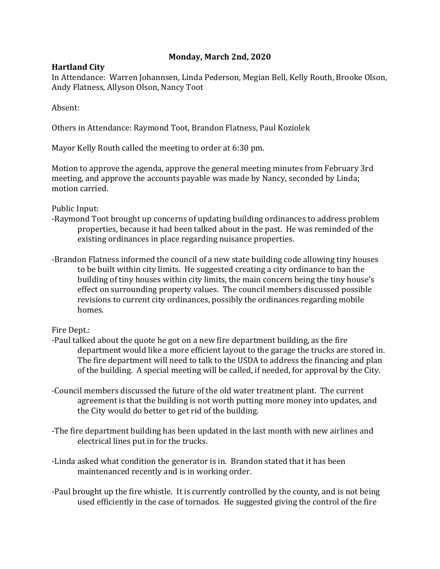## **Monday, March 2nd, 2020**

## **Hartland City**

In Attendance: Warren Johannsen, Linda Pederson, Megian Bell, Kelly Routh, Brooke Olson, Andy Flatness, Allyson Olson, Nancy Toot

Absent:

Others in Attendance: Raymond Toot, Brandon Flatness, Paul Koziolek

Mayor Kelly Routh called the meeting to order at 6:30 pm.

Motion to approve the agenda, approve the general meeting minutes from February 3rd meeting, and approve the accounts payable was made by Nancy, seconded by Linda; motion carried.

Public Input:

- -Raymond Toot brought up concerns of updating building ordinances to address problem properties, because it had been talked about in the past. He was reminded of the existing ordinances in place regarding nuisance properties.
- -Brandon Flatness informed the council of a new state building code allowing tiny houses to be built within city limits. He suggested creating a city ordinance to ban the building of tiny houses within city limits, the main concern being the tiny house's effect on surrounding property values. The council members discussed possible revisions to current city ordinances, possibly the ordinances regarding mobile homes.

## Fire Dept.:

- -Paul talked about the quote he got on a new fire department building, as the fire department would like a more efficient layout to the garage the trucks are stored in. The fire department will need to talk to the USDA to address the financing and plan of the building. A special meeting will be called, if needed, for approval by the City.
- -Council members discussed the future of the old water treatment plant. The current agreement is that the building is not worth putting more money into updates, and the City would do better to get rid of the building.
- -The fire department building has been updated in the last month with new airlines and electrical lines put in for the trucks.
- -Linda asked what condition the generator is in. Brandon stated that it has been maintenanced recently and is in working order.
- -Paul brought up the fire whistle. It is currently controlled by the county, and is not being used efficiently in the case of tornados. He suggested giving the control of the fire